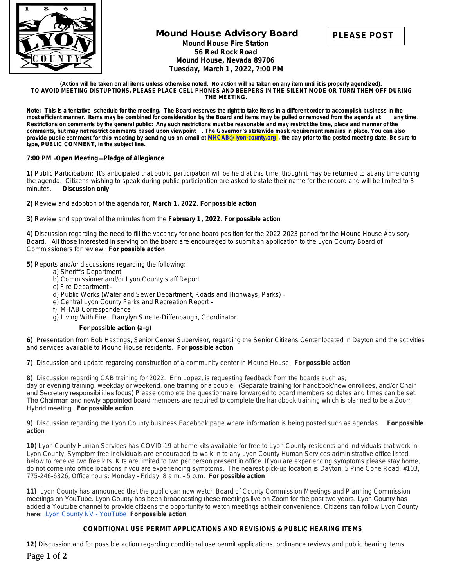

# **Mound House Advisory Board Mound House Fire Station 56 Red Rock Road Mound House, Nevada 89706 Tuesday, March 1, 2022, 7:00 PM**



#### **(Action will be taken on all items unless otherwise noted. No action will be taken on any item until it is properly agendized). TO AVOID MEETING DISTUPTIONS, PLEASE PLACE CELL PHONES AND BEEPERS IN THE SILENT MODE OR TURN THEM OFF DURING THE MEETING.**

Note: This is a tentative schedule for the meeting. The Board reserves the right to take items in a different order to accomplish business in the most efficient manner. Items may be combined for consideration by the Board most efficient manner. Items may be combined for consideration by the Board and items may be pulled or removed from the agenda at **Restrictions on comments by the general public: Any such restrictions must be reasonable and may restrict the time, place and manner of the comments, but may not restrict comments based upon viewpoint . The Governor** '**s statewide mask requirement remains in place. You can also**  provide public comment for this meeting by sending us an email at **[MHCAB@lyon-county.org](mailto:MHCAB@lyon-county.org) [, the day prior to the posted meeting date. Be sure to](mailto:MHCAB@lyon-county.org)  [type, PUBLIC COMMENT, in the subject line.](mailto:MHCAB@lyon-county.org)**

## **7:00 PM** –**Open Meeting** —**[Pledge of Allegiance](mailto:MHCAB@lyon-county.org)**

**[1\)](mailto:MHCAB@lyon-county.org)** [P](mailto:MHCAB@lyon-county.org)ublic Participation: It'[s anticipated that public participation will be held at this time, though it may be returned to at any time during](mailto:MHCAB@lyon-county.org)  [the agenda. Citizens wishing to speak during public participation are asked to state their name for the record and will be limited to 3](mailto:MHCAB@lyon-county.org)  [minutes.](mailto:MHCAB@lyon-county.org) *[Discussion only](mailto:MHCAB@lyon-county.org)*

**[2\)](mailto:MHCAB@lyon-county.org)** [Review and adoption of the agenda for](mailto:MHCAB@lyon-county.org)**[,](mailto:MHCAB@lyon-county.org) [March 1,](mailto:MHCAB@lyon-county.org) [2022](mailto:MHCAB@lyon-county.org)**[.](mailto:MHCAB@lyon-county.org) *[For possible action](mailto:MHCAB@lyon-county.org)*

**[3\)](mailto:MHCAB@lyon-county.org)** [Review and approval of the minutes from the](mailto:MHCAB@lyon-county.org) **[February 1](mailto:MHCAB@lyon-county.org)** [,](mailto:MHCAB@lyon-county.org) **[2022](mailto:MHCAB@lyon-county.org)**[.](mailto:MHCAB@lyon-county.org) *[For possible action](mailto:MHCAB@lyon-county.org)*

**[4\)](mailto:MHCAB@lyon-county.org)** [Discussion regarding the need to fill the vacancy for one board position for the 2022-2023 period for the Mound House Advisory](mailto:MHCAB@lyon-county.org) [Board. All those interested in serving on the board are encouraged to submit an application to the Lyon County Board of](mailto:MHCAB@lyon-county.org)  [Commissioners for review.](mailto:MHCAB@lyon-county.org) *[For possible action](mailto:MHCAB@lyon-county.org)*

**[5\)](mailto:MHCAB@lyon-county.org)** [Reports and/or discussions regarding the following:](mailto:MHCAB@lyon-county.org)

- [a\) Sheriff's Department](mailto:MHCAB@lyon-county.org)
- [b\) Commissioner and/or Lyon County staff Report](mailto:MHCAB@lyon-county.org)
- [c\) Fire Department](mailto:MHCAB@lyon-county.org) –
- [d\) Public Works \(Water and Sewer Department, Roads and Highways, Parks\)](mailto:MHCAB@lyon-county.org) [–](mailto:MHCAB@lyon-county.org)
- [e\) Central Lyon County Parks and Recreation Report](mailto:MHCAB@lyon-county.org) [–](mailto:MHCAB@lyon-county.org)
- [f\) MHAB Correspondence](mailto:MHCAB@lyon-county.org) –
- [g\) Living With Fire](mailto:MHCAB@lyon-county.org)  Dar[rylyn Sinette-Diffenbaugh, Coordinator](mailto:MHCAB@lyon-county.org)

### *[For possible action \(a-g\)](mailto:MHCAB@lyon-county.org)*

**[6\)](mailto:MHCAB@lyon-county.org)** [Presentation from Bob Hastings, Senior Center Supervisor, regarding the Senior Citizens Center](mailto:MHCAB@lyon-county.org) [located in Dayton and the activities](mailto:MHCAB@lyon-county.org)  [and services available to Mound House residents.](mailto:MHCAB@lyon-county.org) *[For possible action](mailto:MHCAB@lyon-county.org)*

**[7\)](mailto:MHCAB@lyon-county.org)** [Discussion and update regarding construction of a community center in Mound House.](mailto:MHCAB@lyon-county.org) *[For possible action](mailto:MHCAB@lyon-county.org)*

**[8\)](mailto:MHCAB@lyon-county.org)** [Discussion regarding CAB training for 2022. Erin Lopez, is requesting feedback from the boards such as;](mailto:MHCAB@lyon-county.org)

[day or evening training, w](mailto:MHCAB@lyon-county.org)[eekday or weekend](mailto:MHCAB@lyon-county.org)[, one training or a couple.](mailto:MHCAB@lyon-county.org) [\(Separate training for handbook/new enrollees, and/or Chair](mailto:MHCAB@lyon-county.org)  [and Secretary responsibilities](mailto:MHCAB@lyon-county.org) [focus\) Please complete the questionnaire forwarded to board members so dates and times can be set.](mailto:MHCAB@lyon-county.org) [The Chairman and newly appointed](mailto:MHCAB@lyon-county.org) [board members are required to complete the handbook training which is planned to be a Zoom](mailto:MHCAB@lyon-county.org)  [Hybrid meeting.](mailto:MHCAB@lyon-county.org) *[For possible action](mailto:MHCAB@lyon-county.org)*

**[9\)](mailto:MHCAB@lyon-county.org)** [Discussion regarding the Lyon County business Facebook page where information is being posted such as agendas.](mailto:MHCAB@lyon-county.org) *[For possible](mailto:MHCAB@lyon-county.org)  [action](mailto:MHCAB@lyon-county.org)*

**[10\)](mailto:MHCAB@lyon-county.org)** [Lyon County Human Services has COVID-19 at home kits available for free to Lyon County residents and individuals that work in](mailto:MHCAB@lyon-county.org)  [Lyon County. Symptom free individuals are encouraged to walk-in to any Lyon County Human Services administrative office listed](mailto:MHCAB@lyon-county.org)  below to receive two free kits. Kits are limited to two per person present in office. If you are experiencing symptoms please stay home, [do not come into office locations if you are experiencing symptoms. The nearest](mailto:MHCAB@lyon-county.org) [pick-up location is Dayton, 5 Pine Cone Road, #103,](mailto:MHCAB@lyon-county.org)  [775-246-6326, Office hours: Monday](mailto:MHCAB@lyon-county.org) – Friday, 8 a.m. – 5 p.[m.](mailto:MHCAB@lyon-county.org) *[For possible action](mailto:MHCAB@lyon-county.org)*

**[11\)](mailto:MHCAB@lyon-county.org)** [Lyon County has announced that the public can now watch Board of County Commission Meetings and Planning Commission](mailto:MHCAB@lyon-county.org)  [meetings on YouTube. Lyon County has been broadcasting these meetings live on Zoom for the past two years. Lyon County has](mailto:MHCAB@lyon-county.org)  [added a Youtube channel to provide citizens the opportunity to watch meetings at their convenience. Citizens can follow Lyon County](mailto:MHCAB@lyon-county.org)  [here:](mailto:MHCAB@lyon-county.org) [Lyon County NV - YouTube](https://www.youtube.com/channel/UC6jS6jpKwl7oIX8JD24Qo_A) *For possible action*

# **CONDITIONAL USE PERMIT APPLICATIONS AND REVISIONS & PUBLIC HEARING ITEMS**

**12)** Discussion and for possible action regarding conditional use permit applications, ordinance reviews and public hearing items